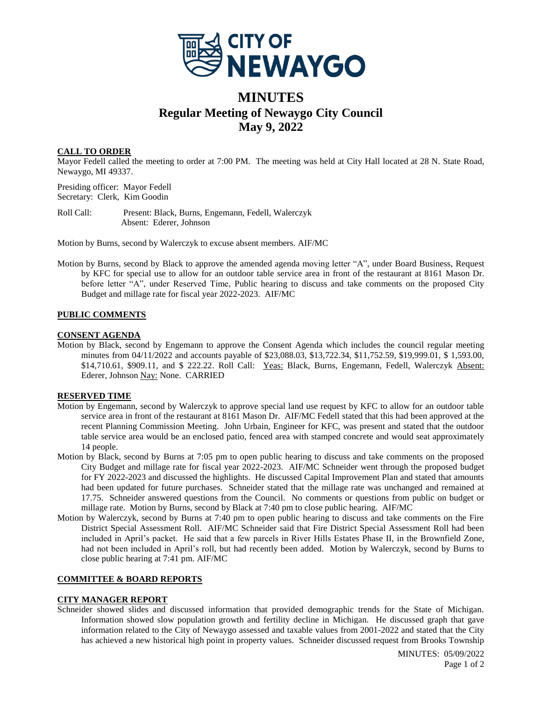

# **MINUTES Regular Meeting of Newaygo City Council May 9, 2022**

# **CALL TO ORDER**

Mayor Fedell called the meeting to order at 7:00 PM. The meeting was held at City Hall located at 28 N. State Road, Newaygo, MI 49337.

Presiding officer: Mayor Fedell Secretary: Clerk, Kim Goodin

Roll Call: Present: Black, Burns, Engemann, Fedell, Walerczyk Absent: Ederer, Johnson

Motion by Burns, second by Walerczyk to excuse absent members. AIF/MC

Motion by Burns, second by Black to approve the amended agenda moving letter "A", under Board Business, Request by KFC for special use to allow for an outdoor table service area in front of the restaurant at 8161 Mason Dr. before letter "A", under Reserved Time, Public hearing to discuss and take comments on the proposed City Budget and millage rate for fiscal year 2022-2023. AIF/MC

# **PUBLIC COMMENTS**

### **CONSENT AGENDA**

Motion by Black, second by Engemann to approve the Consent Agenda which includes the council regular meeting minutes from 04/11/2022 and accounts payable of \$23,088.03, \$13,722.34, \$11,752.59, \$19,999.01, \$ 1,593.00, \$14,710.61, \$909.11, and \$ 222.22. Roll Call: Yeas: Black, Burns, Engemann, Fedell, Walerczyk Absent: Ederer, Johnson Nay: None. CARRIED

## **RESERVED TIME**

- Motion by Engemann, second by Walerczyk to approve special land use request by KFC to allow for an outdoor table service area in front of the restaurant at 8161 Mason Dr. AIF/MC Fedell stated that this had been approved at the recent Planning Commission Meeting. John Urbain, Engineer for KFC, was present and stated that the outdoor table service area would be an enclosed patio, fenced area with stamped concrete and would seat approximately 14 people.
- Motion by Black, second by Burns at 7:05 pm to open public hearing to discuss and take comments on the proposed City Budget and millage rate for fiscal year 2022-2023. AIF/MC Schneider went through the proposed budget for FY 2022-2023 and discussed the highlights. He discussed Capital Improvement Plan and stated that amounts had been updated for future purchases. Schneider stated that the millage rate was unchanged and remained at 17.75. Schneider answered questions from the Council. No comments or questions from public on budget or millage rate. Motion by Burns, second by Black at 7:40 pm to close public hearing. AIF/MC
- Motion by Walerczyk, second by Burns at 7:40 pm to open public hearing to discuss and take comments on the Fire District Special Assessment Roll. AIF/MC Schneider said that Fire District Special Assessment Roll had been included in April's packet. He said that a few parcels in River Hills Estates Phase II, in the Brownfield Zone, had not been included in April's roll, but had recently been added. Motion by Walerczyk, second by Burns to close public hearing at 7:41 pm. AIF/MC

## **COMMITTEE & BOARD REPORTS**

#### **CITY MANAGER REPORT**

Schneider showed slides and discussed information that provided demographic trends for the State of Michigan. Information showed slow population growth and fertility decline in Michigan. He discussed graph that gave information related to the City of Newaygo assessed and taxable values from 2001-2022 and stated that the City has achieved a new historical high point in property values. Schneider discussed request from Brooks Township